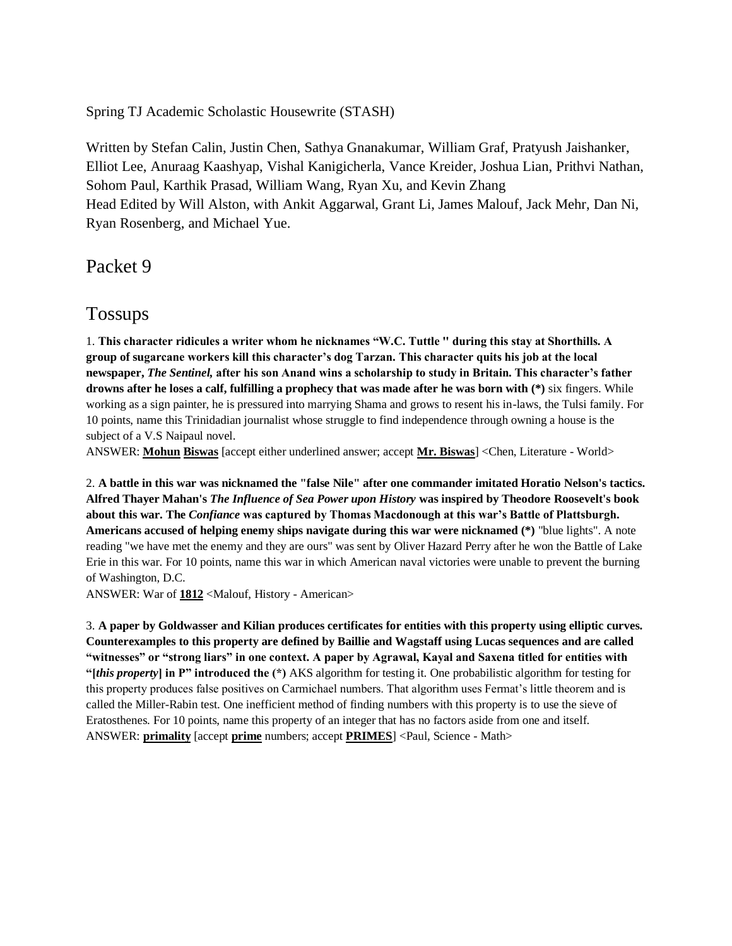Spring TJ Academic Scholastic Housewrite (STASH)

Written by Stefan Calin, Justin Chen, Sathya Gnanakumar, William Graf, Pratyush Jaishanker, Elliot Lee, Anuraag Kaashyap, Vishal Kanigicherla, Vance Kreider, Joshua Lian, Prithvi Nathan, Sohom Paul, Karthik Prasad, William Wang, Ryan Xu, and Kevin Zhang Head Edited by Will Alston, with Ankit Aggarwal, Grant Li, James Malouf, Jack Mehr, Dan Ni, Ryan Rosenberg, and Michael Yue.

Packet 9

# Tossups

1. **This character ridicules a writer whom he nicknames "W.C. Tuttle '' during this stay at Shorthills. A group of sugarcane workers kill this character's dog Tarzan. This character quits his job at the local newspaper,** *The Sentinel,* **after his son Anand wins a scholarship to study in Britain. This character's father drowns after he loses a calf, fulfilling a prophecy that was made after he was born with (\*)** six fingers. While working as a sign painter, he is pressured into marrying Shama and grows to resent his in-laws, the Tulsi family. For 10 points, name this Trinidadian journalist whose struggle to find independence through owning a house is the subject of a V.S Naipaul novel.

ANSWER: **Mohun Biswas** [accept either underlined answer; accept **Mr. Biswas**] <Chen, Literature - World>

2. **A battle in this war was nicknamed the "false Nile" after one commander imitated Horatio Nelson's tactics. Alfred Thayer Mahan's** *The Influence of Sea Power upon History* **was inspired by Theodore Roosevelt's book about this war. The** *Confiance* **was captured by Thomas Macdonough at this war's Battle of Plattsburgh. Americans accused of helping enemy ships navigate during this war were nicknamed (\*)** "blue lights". A note reading "we have met the enemy and they are ours" was sent by Oliver Hazard Perry after he won the Battle of Lake Erie in this war. For 10 points, name this war in which American naval victories were unable to prevent the burning of Washington, D.C.

ANSWER: War of **1812** <Malouf, History - American>

3. **A paper by Goldwasser and Kilian produces certificates for entities with this property using elliptic curves. Counterexamples to this property are defined by Baillie and Wagstaff using Lucas sequences and are called "witnesses" or "strong liars" in one context. A paper by Agrawal, Kayal and Saxena titled for entities with "[***this property***] in P" introduced the (\*)** AKS algorithm for testing it. One probabilistic algorithm for testing for this property produces false positives on Carmichael numbers. That algorithm uses Fermat's little theorem and is called the Miller-Rabin test. One inefficient method of finding numbers with this property is to use the sieve of Eratosthenes. For 10 points, name this property of an integer that has no factors aside from one and itself. ANSWER: **primality** [accept **prime** numbers; accept **PRIMES**] <Paul, Science - Math>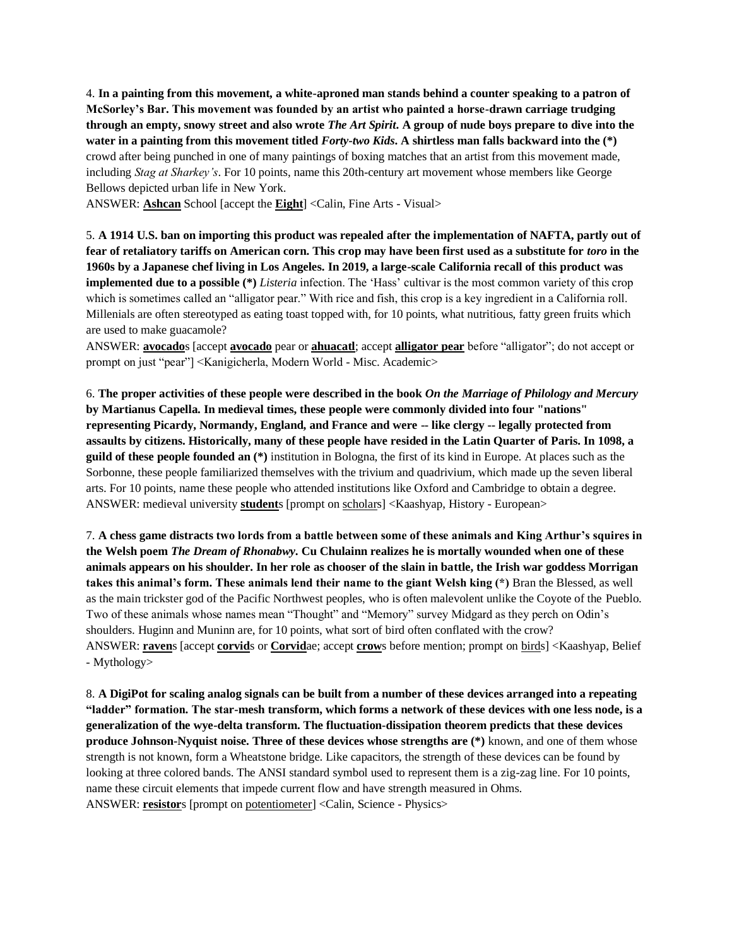4. **In a painting from this movement, a white-aproned man stands behind a counter speaking to a patron of McSorley's Bar. This movement was founded by an artist who painted a horse-drawn carriage trudging through an empty, snowy street and also wrote** *The Art Spirit***. A group of nude boys prepare to dive into the water in a painting from this movement titled** *Forty-two Kids***. A shirtless man falls backward into the (\*)** crowd after being punched in one of many paintings of boxing matches that an artist from this movement made, including *Stag at Sharkey's*. For 10 points, name this 20th-century art movement whose members like George Bellows depicted urban life in New York.

ANSWER: **Ashcan** School [accept the **Eight**] <Calin, Fine Arts - Visual>

5. **A 1914 U.S. ban on importing this product was repealed after the implementation of NAFTA, partly out of fear of retaliatory tariffs on American corn. This crop may have been first used as a substitute for** *toro* **in the 1960s by a Japanese chef living in Los Angeles. In 2019, a large-scale California recall of this product was implemented due to a possible (\*)** *Listeria* infection. The 'Hass' cultivar is the most common variety of this crop which is sometimes called an "alligator pear." With rice and fish, this crop is a key ingredient in a California roll. Millenials are often stereotyped as eating toast topped with, for 10 points, what nutritious, fatty green fruits which are used to make guacamole?

ANSWER: **avocado**s [accept **avocado** pear or **ahuacatl**; accept **alligator pear** before "alligator"; do not accept or prompt on just "pear"] <Kanigicherla, Modern World - Misc. Academic>

6. **The proper activities of these people were described in the book** *On the Marriage of Philology and Mercury* **by Martianus Capella. In medieval times, these people were commonly divided into four "nations" representing Picardy, Normandy, England, and France and were -- like clergy -- legally protected from assaults by citizens. Historically, many of these people have resided in the Latin Quarter of Paris. In 1098, a guild of these people founded an (\*)** institution in Bologna, the first of its kind in Europe. At places such as the Sorbonne, these people familiarized themselves with the trivium and quadrivium, which made up the seven liberal arts. For 10 points, name these people who attended institutions like Oxford and Cambridge to obtain a degree. ANSWER: medieval university **student**s [prompt on scholars] <Kaashyap, History - European>

7. **A chess game distracts two lords from a battle between some of these animals and King Arthur's squires in the Welsh poem** *The Dream of Rhonabwy***. Cu Chulainn realizes he is mortally wounded when one of these animals appears on his shoulder. In her role as chooser of the slain in battle, the Irish war goddess Morrigan takes this animal's form. These animals lend their name to the giant Welsh king (\*)** Bran the Blessed, as well as the main trickster god of the Pacific Northwest peoples, who is often malevolent unlike the Coyote of the Pueblo. Two of these animals whose names mean "Thought" and "Memory" survey Midgard as they perch on Odin's shoulders. Huginn and Muninn are, for 10 points, what sort of bird often conflated with the crow? ANSWER: **raven**s [accept **corvid**s or **Corvid**ae; accept **crow**s before mention; prompt on birds] <Kaashyap, Belief - Mythology>

8. **A DigiPot for scaling analog signals can be built from a number of these devices arranged into a repeating "ladder" formation. The star-mesh transform, which forms a network of these devices with one less node, is a generalization of the wye-delta transform. The fluctuation-dissipation theorem predicts that these devices produce Johnson-Nyquist noise. Three of these devices whose strengths are (\*)** known, and one of them whose strength is not known, form a Wheatstone bridge. Like capacitors, the strength of these devices can be found by looking at three colored bands. The ANSI standard symbol used to represent them is a zig-zag line. For 10 points, name these circuit elements that impede current flow and have strength measured in Ohms. ANSWER: **resistor**s [prompt on potentiometer] <Calin, Science - Physics>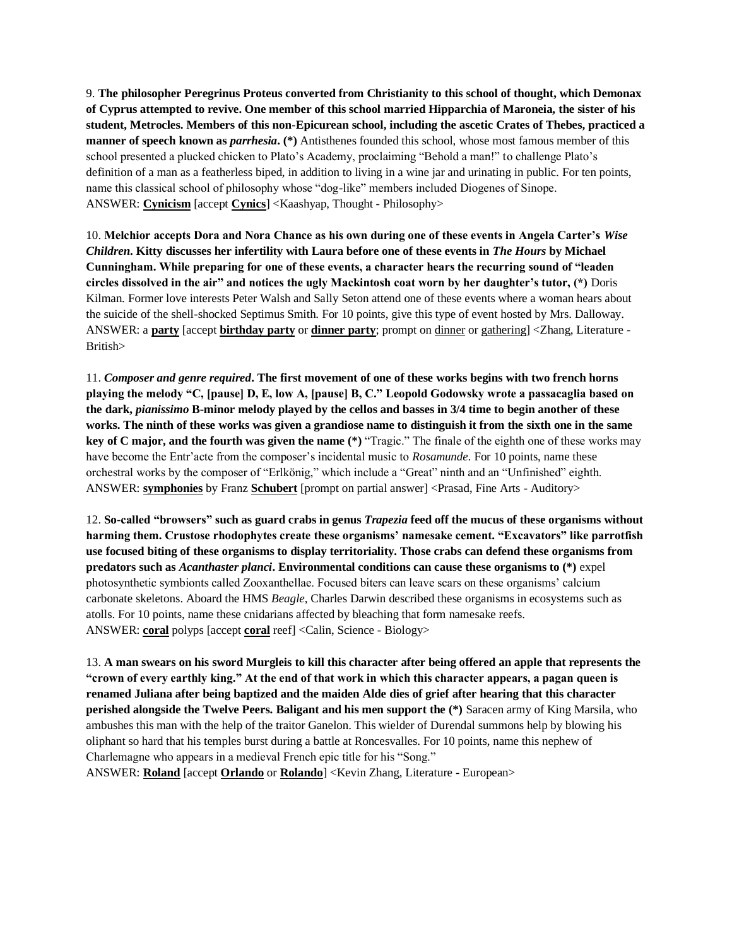9. **The philosopher Peregrinus Proteus converted from Christianity to this school of thought, which Demonax of Cyprus attempted to revive. One member of this school married Hipparchia of Maroneia, the sister of his student, Metrocles. Members of this non-Epicurean school, including the ascetic Crates of Thebes, practiced a manner of speech known as** *parrhesia***. (\*)** Antisthenes founded this school, whose most famous member of this school presented a plucked chicken to Plato's Academy, proclaiming "Behold a man!" to challenge Plato's definition of a man as a featherless biped, in addition to living in a wine jar and urinating in public. For ten points, name this classical school of philosophy whose "dog-like" members included Diogenes of Sinope. ANSWER: **Cynicism** [accept **Cynics**] <Kaashyap, Thought - Philosophy>

10. **Melchior accepts Dora and Nora Chance as his own during one of these events in Angela Carter's** *Wise Children***. Kitty discusses her infertility with Laura before one of these events in** *The Hours* **by Michael Cunningham. While preparing for one of these events, a character hears the recurring sound of "leaden circles dissolved in the air" and notices the ugly Mackintosh coat worn by her daughter's tutor, (\*)** Doris Kilman. Former love interests Peter Walsh and Sally Seton attend one of these events where a woman hears about the suicide of the shell-shocked Septimus Smith. For 10 points, give this type of event hosted by Mrs. Dalloway. ANSWER: a **party** [accept **birthday party** or **dinner party**; prompt on dinner or gathering] <Zhang, Literature - British>

11. *Composer and genre required***. The first movement of one of these works begins with two french horns playing the melody "C, [pause] D, E, low A, [pause] B, C." Leopold Godowsky wrote a passacaglia based on the dark,** *pianissimo* **B-minor melody played by the cellos and basses in 3/4 time to begin another of these works. The ninth of these works was given a grandiose name to distinguish it from the sixth one in the same key of C major, and the fourth was given the name (\*)** "Tragic." The finale of the eighth one of these works may have become the Entr'acte from the composer's incidental music to *Rosamunde*. For 10 points, name these orchestral works by the composer of "Erlkönig," which include a "Great" ninth and an "Unfinished" eighth. ANSWER: **symphonies** by Franz **Schubert** [prompt on partial answer] <Prasad, Fine Arts - Auditory>

12. **So-called "browsers" such as guard crabs in genus** *Trapezia* **feed off the mucus of these organisms without harming them. Crustose rhodophytes create these organisms' namesake cement. "Excavators" like parrotfish use focused biting of these organisms to display territoriality. Those crabs can defend these organisms from predators such as** *Acanthaster planci***. Environmental conditions can cause these organisms to (\*)** expel photosynthetic symbionts called Zooxanthellae. Focused biters can leave scars on these organisms' calcium carbonate skeletons. Aboard the HMS *Beagle*, Charles Darwin described these organisms in ecosystems such as atolls. For 10 points, name these cnidarians affected by bleaching that form namesake reefs. ANSWER: **coral** polyps [accept **coral** reef] <Calin, Science - Biology>

13. **A man swears on his sword Murgleis to kill this character after being offered an apple that represents the "crown of every earthly king." At the end of that work in which this character appears, a pagan queen is renamed Juliana after being baptized and the maiden Alde dies of grief after hearing that this character perished alongside the Twelve Peers. Baligant and his men support the (\*)** Saracen army of King Marsila, who ambushes this man with the help of the traitor Ganelon. This wielder of Durendal summons help by blowing his oliphant so hard that his temples burst during a battle at Roncesvalles. For 10 points, name this nephew of Charlemagne who appears in a medieval French epic title for his "Song."

ANSWER: **Roland** [accept **Orlando** or **Rolando**] <Kevin Zhang, Literature - European>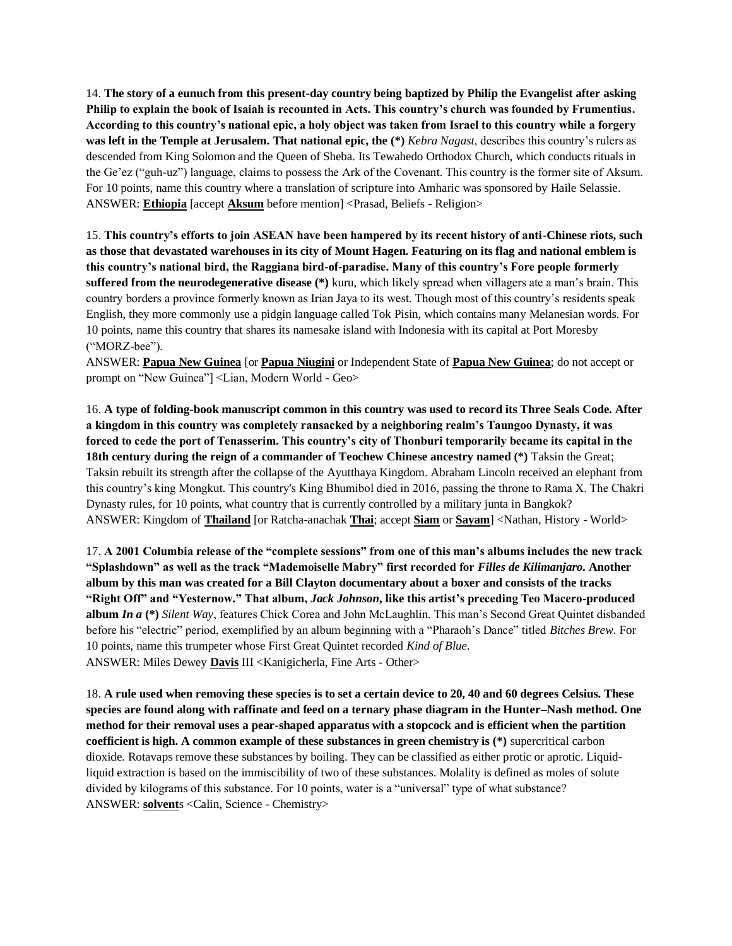14. **The story of a eunuch from this present-day country being baptized by Philip the Evangelist after asking Philip to explain the book of Isaiah is recounted in Acts. This country's church was founded by Frumentius. According to this country's national epic, a holy object was taken from Israel to this country while a forgery was left in the Temple at Jerusalem. That national epic, the (\*)** *Kebra Nagast*, describes this country's rulers as descended from King Solomon and the Queen of Sheba. Its Tewahedo Orthodox Church, which conducts rituals in the Ge'ez ("guh-uz") language, claims to possess the Ark of the Covenant. This country is the former site of Aksum. For 10 points, name this country where a translation of scripture into Amharic was sponsored by Haile Selassie. ANSWER: **Ethiopia** [accept **Aksum** before mention] <Prasad, Beliefs - Religion>

15. **This country's efforts to join ASEAN have been hampered by its recent history of anti-Chinese riots, such as those that devastated warehouses in its city of Mount Hagen. Featuring on its flag and national emblem is this country's national bird, the Raggiana bird-of-paradise. Many of this country's Fore people formerly suffered from the neurodegenerative disease (\*)** kuru, which likely spread when villagers ate a man's brain. This country borders a province formerly known as Irian Jaya to its west. Though most of this country's residents speak English, they more commonly use a pidgin language called Tok Pisin, which contains many Melanesian words. For 10 points, name this country that shares its namesake island with Indonesia with its capital at Port Moresby ("MORZ-bee").

ANSWER: **Papua New Guinea** [or **Papua Niugini** or Independent State of **Papua New Guinea**; do not accept or prompt on "New Guinea"] <Lian, Modern World - Geo>

16. **A type of folding-book manuscript common in this country was used to record its Three Seals Code. After a kingdom in this country was completely ransacked by a neighboring realm's Taungoo Dynasty, it was forced to cede the port of Tenasserim. This country's city of Thonburi temporarily became its capital in the 18th century during the reign of a commander of Teochew Chinese ancestry named (\*)** Taksin the Great; Taksin rebuilt its strength after the collapse of the Ayutthaya Kingdom. Abraham Lincoln received an elephant from this country's king Mongkut. This country's King Bhumibol died in 2016, passing the throne to Rama X. The Chakri Dynasty rules, for 10 points, what country that is currently controlled by a military junta in Bangkok? ANSWER: Kingdom of **Thailand** [or Ratcha-anachak **Thai**; accept **Siam** or **Sayam**] <Nathan, History - World>

17. **A 2001 Columbia release of the "complete sessions" from one of this man's albums includes the new track "Splashdown" as well as the track "Mademoiselle Mabry" first recorded for** *Filles de Kilimanjaro***. Another album by this man was created for a Bill Clayton documentary about a boxer and consists of the tracks "Right Off" and "Yesternow." That album,** *Jack Johnson***, like this artist's preceding Teo Macero-produced album** *In a* **(\*)** *Silent Way*, features Chick Corea and John McLaughlin. This man's Second Great Quintet disbanded before his "electric" period, exemplified by an album beginning with a "Pharaoh's Dance" titled *Bitches Brew*. For 10 points, name this trumpeter whose First Great Quintet recorded *Kind of Blue*. ANSWER: Miles Dewey **Davis** III <Kanigicherla, Fine Arts - Other>

18. **A rule used when removing these species is to set a certain device to 20, 40 and 60 degrees Celsius. These species are found along with raffinate and feed on a ternary phase diagram in the Hunter–Nash method. One method for their removal uses a pear-shaped apparatus with a stopcock and is efficient when the partition coefficient is high. A common example of these substances in green chemistry is (\*)** supercritical carbon dioxide. Rotavaps remove these substances by boiling. They can be classified as either protic or aprotic. Liquidliquid extraction is based on the immiscibility of two of these substances. Molality is defined as moles of solute divided by kilograms of this substance. For 10 points, water is a "universal" type of what substance? ANSWER: **solvent**s <Calin, Science - Chemistry>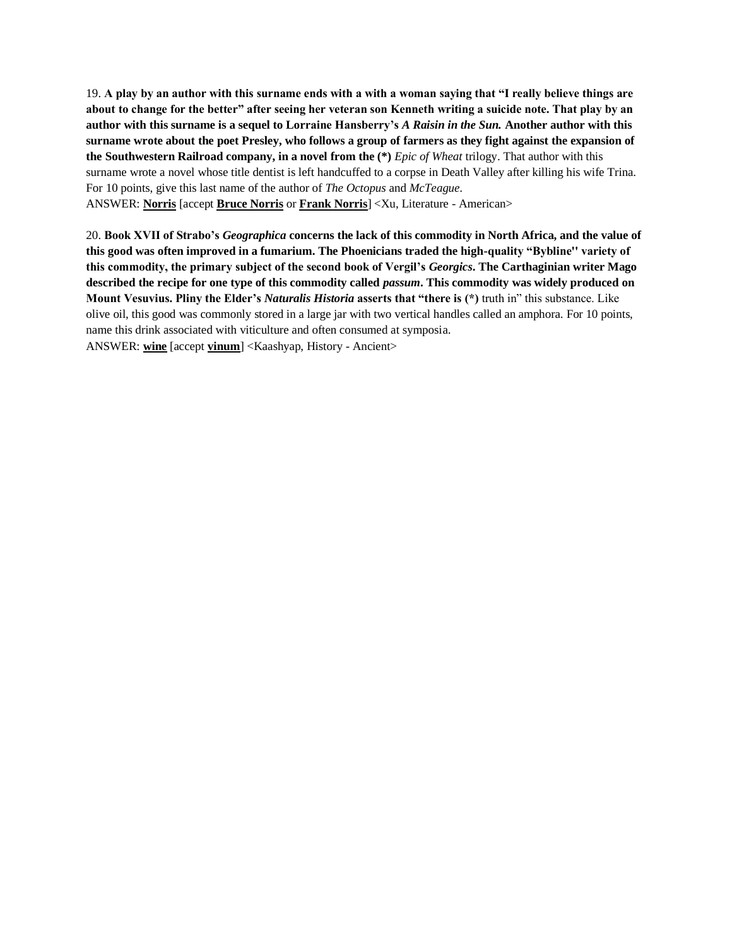19. **A play by an author with this surname ends with a with a woman saying that "I really believe things are about to change for the better" after seeing her veteran son Kenneth writing a suicide note. That play by an author with this surname is a sequel to Lorraine Hansberry's** *A Raisin in the Sun.* **Another author with this surname wrote about the poet Presley, who follows a group of farmers as they fight against the expansion of the Southwestern Railroad company, in a novel from the (\*)** *Epic of Wheat* trilogy. That author with this surname wrote a novel whose title dentist is left handcuffed to a corpse in Death Valley after killing his wife Trina. For 10 points, give this last name of the author of *The Octopus* and *McTeague*. ANSWER: **Norris** [accept **Bruce Norris** or **Frank Norris**] <Xu, Literature - American>

20. **Book XVII of Strabo's** *Geographica* **concerns the lack of this commodity in North Africa, and the value of this good was often improved in a fumarium. The Phoenicians traded the high-quality "Bybline'' variety of this commodity, the primary subject of the second book of Vergil's** *Georgics***. The Carthaginian writer Mago described the recipe for one type of this commodity called** *passum***. This commodity was widely produced on Mount Vesuvius. Pliny the Elder's** *Naturalis Historia* **asserts that "there is (\*)** truth in" this substance. Like olive oil, this good was commonly stored in a large jar with two vertical handles called an amphora. For 10 points, name this drink associated with viticulture and often consumed at symposia. ANSWER: **wine** [accept **vinum**] <Kaashyap, History - Ancient>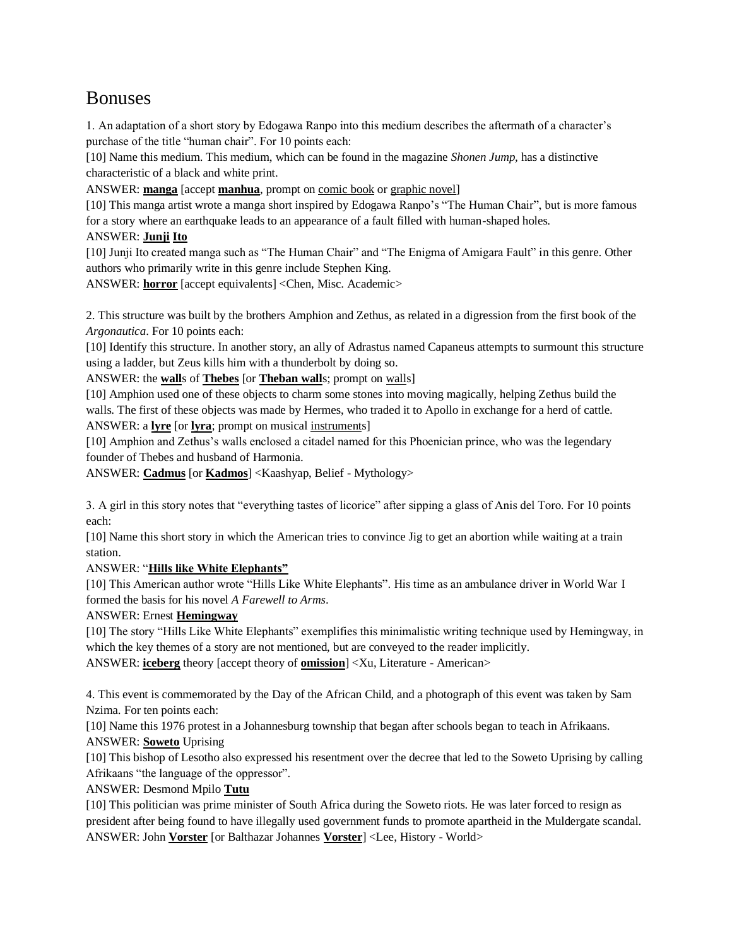# Bonuses

1. An adaptation of a short story by Edogawa Ranpo into this medium describes the aftermath of a character's purchase of the title "human chair". For 10 points each:

[10] Name this medium. This medium, which can be found in the magazine *Shonen Jump,* has a distinctive characteristic of a black and white print.

ANSWER: **manga** [accept **manhua**, prompt on comic book or graphic novel]

[10] This manga artist wrote a manga short inspired by Edogawa Ranpo's "The Human Chair", but is more famous for a story where an earthquake leads to an appearance of a fault filled with human-shaped holes.

# ANSWER: **Junji Ito**

[10] Junji Ito created manga such as "The Human Chair" and "The Enigma of Amigara Fault" in this genre. Other authors who primarily write in this genre include Stephen King.

ANSWER: **horror** [accept equivalents] <Chen, Misc. Academic>

2. This structure was built by the brothers Amphion and Zethus, as related in a digression from the first book of the *Argonautica*. For 10 points each:

[10] Identify this structure. In another story, an ally of Adrastus named Capaneus attempts to surmount this structure using a ladder, but Zeus kills him with a thunderbolt by doing so.

ANSWER: the **wall**s of **Thebes** [or **Theban wall**s; prompt on walls]

[10] Amphion used one of these objects to charm some stones into moving magically, helping Zethus build the walls. The first of these objects was made by Hermes, who traded it to Apollo in exchange for a herd of cattle. ANSWER: a **lyre** [or **lyra**; prompt on musical instruments]

[10] Amphion and Zethus's walls enclosed a citadel named for this Phoenician prince, who was the legendary founder of Thebes and husband of Harmonia.

ANSWER: **Cadmus** [or **Kadmos**] <Kaashyap, Belief - Mythology>

3. A girl in this story notes that "everything tastes of licorice" after sipping a glass of Anis del Toro. For 10 points each:

[10] Name this short story in which the American tries to convince Jig to get an abortion while waiting at a train station.

# ANSWER: "**Hills like White Elephants"**

[10] This American author wrote "Hills Like White Elephants". His time as an ambulance driver in World War I formed the basis for his novel *A Farewell to Arms*.

# ANSWER: Ernest **Hemingway**

[10] The story "Hills Like White Elephants" exemplifies this minimalistic writing technique used by Hemingway, in which the key themes of a story are not mentioned, but are conveyed to the reader implicitly. ANSWER: **iceberg** theory [accept theory of **omission**] <Xu, Literature - American>

4. This event is commemorated by the Day of the African Child, and a photograph of this event was taken by Sam Nzima. For ten points each:

[10] Name this 1976 protest in a Johannesburg township that began after schools began to teach in Afrikaans. ANSWER: **Soweto** Uprising

[10] This bishop of Lesotho also expressed his resentment over the decree that led to the Soweto Uprising by calling Afrikaans "the language of the oppressor".

ANSWER: Desmond Mpilo **Tutu**

[10] This politician was prime minister of South Africa during the Soweto riots. He was later forced to resign as president after being found to have illegally used government funds to promote apartheid in the Muldergate scandal. ANSWER: John **Vorster** [or Balthazar Johannes **Vorster**] <Lee, History - World>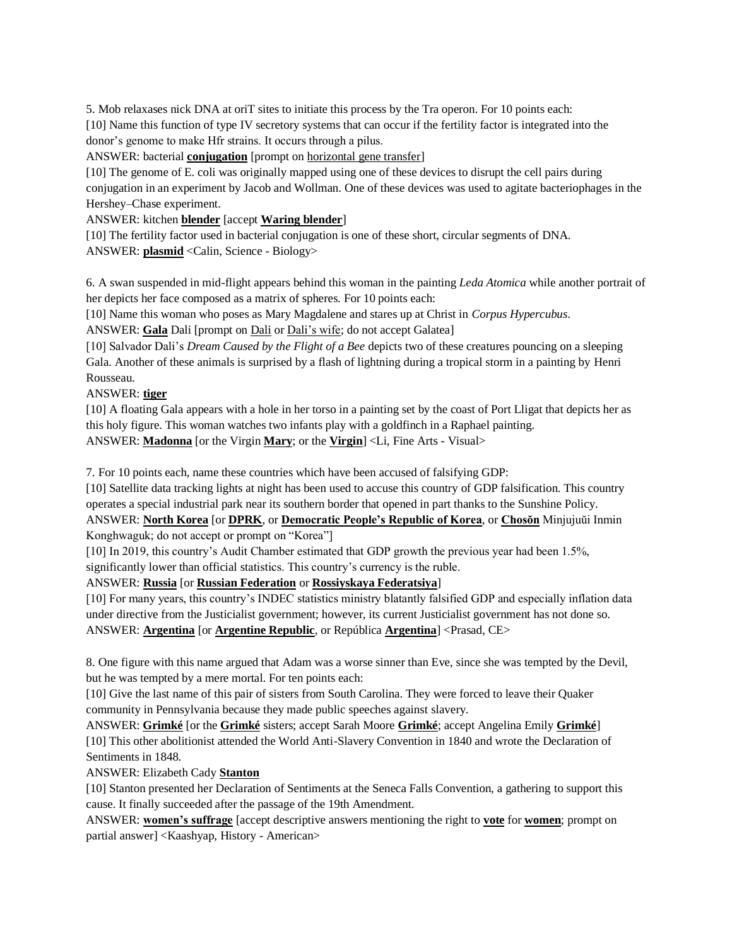5. Mob relaxases nick DNA at oriT sites to initiate this process by the Tra operon. For 10 points each: [10] Name this function of type IV secretory systems that can occur if the fertility factor is integrated into the donor's genome to make Hfr strains. It occurs through a pilus.

ANSWER: bacterial **conjugation** [prompt on horizontal gene transfer]

[10] The genome of E. coli was originally mapped using one of these devices to disrupt the cell pairs during conjugation in an experiment by Jacob and Wollman. One of these devices was used to agitate bacteriophages in the Hershey–Chase experiment.

ANSWER: kitchen **blender** [accept **Waring blender**]

[10] The fertility factor used in bacterial conjugation is one of these short, circular segments of DNA. ANSWER: **plasmid** <Calin, Science - Biology>

6. A swan suspended in mid-flight appears behind this woman in the painting *Leda Atomica* while another portrait of her depicts her face composed as a matrix of spheres. For 10 points each:

[10] Name this woman who poses as Mary Magdalene and stares up at Christ in *Corpus Hypercubus*.

ANSWER: **Gala** Dali [prompt on Dali or Dali's wife; do not accept Galatea]

[10] Salvador Dali's *Dream Caused by the Flight of a Bee* depicts two of these creatures pouncing on a sleeping Gala. Another of these animals is surprised by a flash of lightning during a tropical storm in a painting by Henri Rousseau.

#### ANSWER: **tiger**

[10] A floating Gala appears with a hole in her torso in a painting set by the coast of Port Lligat that depicts her as this holy figure. This woman watches two infants play with a goldfinch in a Raphael painting. ANSWER: **Madonna** [or the Virgin **Mary**; or the **Virgin**] <Li, Fine Arts - Visual>

7. For 10 points each, name these countries which have been accused of falsifying GDP:

[10] Satellite data tracking lights at night has been used to accuse this country of GDP falsification. This country operates a special industrial park near its southern border that opened in part thanks to the Sunshine Policy.

ANSWER: **North Korea** [or **DPRK**, or **Democratic People's Republic of Korea**, or **Chosŏn** Minjujuŭi Inmin Konghwaguk; do not accept or prompt on "Korea"]

[10] In 2019, this country's Audit Chamber estimated that GDP growth the previous year had been 1.5%,

significantly lower than official statistics. This country's currency is the ruble.

ANSWER: **Russia** [or **Russian Federation** or **Rossiyskaya Federatsiya**]

[10] For many years, this country's INDEC statistics ministry blatantly falsified GDP and especially inflation data under directive from the Justicialist government; however, its current Justicialist government has not done so. ANSWER: **Argentina** [or **Argentine Republic**, or República **Argentina**] <Prasad, CE>

8. One figure with this name argued that Adam was a worse sinner than Eve, since she was tempted by the Devil, but he was tempted by a mere mortal. For ten points each:

[10] Give the last name of this pair of sisters from South Carolina. They were forced to leave their Quaker community in Pennsylvania because they made public speeches against slavery.

ANSWER: **Grimké** [or the **Grimké** sisters; accept Sarah Moore **Grimké**; accept Angelina Emily **Grimké**] [10] This other abolitionist attended the World Anti-Slavery Convention in 1840 and wrote the Declaration of Sentiments in 1848.

ANSWER: Elizabeth Cady **Stanton**

[10] Stanton presented her Declaration of Sentiments at the Seneca Falls Convention, a gathering to support this cause. It finally succeeded after the passage of the 19th Amendment.

ANSWER: **women's suffrage** [accept descriptive answers mentioning the right to **vote** for **women**; prompt on partial answer] <Kaashyap, History - American>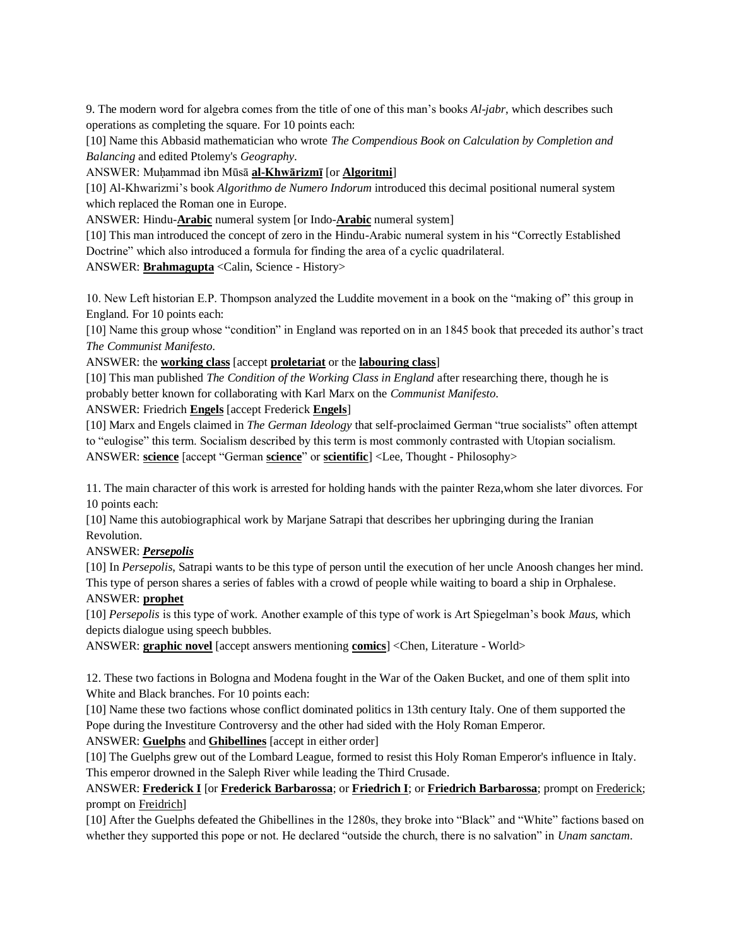9. The modern word for algebra comes from the title of one of this man's books *Al-jabr*, which describes such operations as completing the square. For 10 points each:

[10] Name this Abbasid mathematician who wrote *The Compendious Book on Calculation by Completion and Balancing* and edited Ptolemy's *Geography*.

#### ANSWER: Muḥammad ibn Mūsā **al-Khwārizmī** [or **Algoritmi**]

[10] Al-Khwarizmi's book *Algorithmo de Numero Indorum* introduced this decimal positional numeral system which replaced the Roman one in Europe.

ANSWER: Hindu-**Arabic** numeral system [or Indo-**Arabic** numeral system]

[10] This man introduced the concept of zero in the Hindu-Arabic numeral system in his "Correctly Established Doctrine" which also introduced a formula for finding the area of a cyclic quadrilateral.

ANSWER: **Brahmagupta** <Calin, Science - History>

10. New Left historian E.P. Thompson analyzed the Luddite movement in a book on the "making of" this group in England. For 10 points each:

[10] Name this group whose "condition" in England was reported on in an 1845 book that preceded its author's tract *The Communist Manifesto*.

#### ANSWER: the **working class** [accept **proletariat** or the **labouring class**]

[10] This man published *The Condition of the Working Class in England* after researching there, though he is probably better known for collaborating with Karl Marx on the *Communist Manifesto*.

#### ANSWER: Friedrich **Engels** [accept Frederick **Engels**]

[10] Marx and Engels claimed in *The German Ideology* that self-proclaimed German "true socialists" often attempt to "eulogise" this term. Socialism described by this term is most commonly contrasted with Utopian socialism. ANSWER: **science** [accept "German **science**" or **scientific**] <Lee, Thought - Philosophy>

11. The main character of this work is arrested for holding hands with the painter Reza,whom she later divorces. For 10 points each:

[10] Name this autobiographical work by Marjane Satrapi that describes her upbringing during the Iranian Revolution.

#### ANSWER: *Persepolis*

[10] In *Persepolis*, Satrapi wants to be this type of person until the execution of her uncle Anoosh changes her mind. This type of person shares a series of fables with a crowd of people while waiting to board a ship in Orphalese.

#### ANSWER: **prophet**

[10] *Persepolis* is this type of work. Another example of this type of work is Art Spiegelman's book *Maus,* which depicts dialogue using speech bubbles.

ANSWER: **graphic novel** [accept answers mentioning **comics**] <Chen, Literature - World>

12. These two factions in Bologna and Modena fought in the War of the Oaken Bucket, and one of them split into White and Black branches. For 10 points each:

[10] Name these two factions whose conflict dominated politics in 13th century Italy. One of them supported the Pope during the Investiture Controversy and the other had sided with the Holy Roman Emperor.

ANSWER: **Guelphs** and **Ghibellines** [accept in either order]

[10] The Guelphs grew out of the Lombard League, formed to resist this Holy Roman Emperor's influence in Italy. This emperor drowned in the Saleph River while leading the Third Crusade.

#### ANSWER: **Frederick I** [or **Frederick Barbarossa**; or **Friedrich I**; or **Friedrich Barbarossa**; prompt on Frederick; prompt on Freidrich]

[10] After the Guelphs defeated the Ghibellines in the 1280s, they broke into "Black" and "White" factions based on whether they supported this pope or not. He declared "outside the church, there is no salvation" in *Unam sanctam*.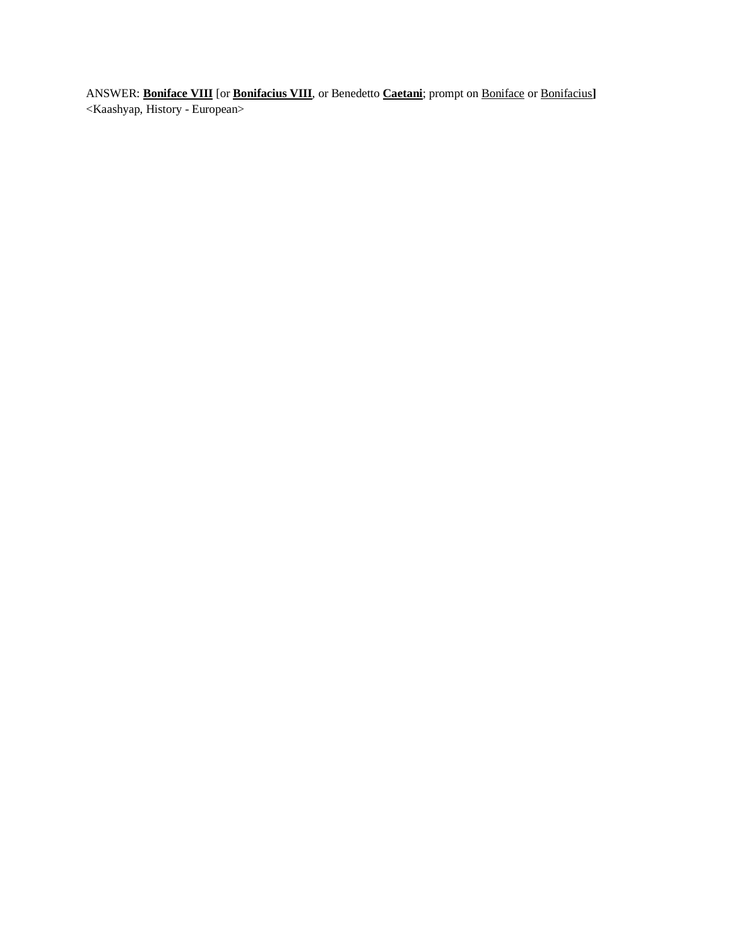ANSWER: **Boniface VIII** [or **Bonifacius VIII**, or Benedetto **Caetani**; prompt on Boniface or Bonifacius**]**  <Kaashyap, History - European>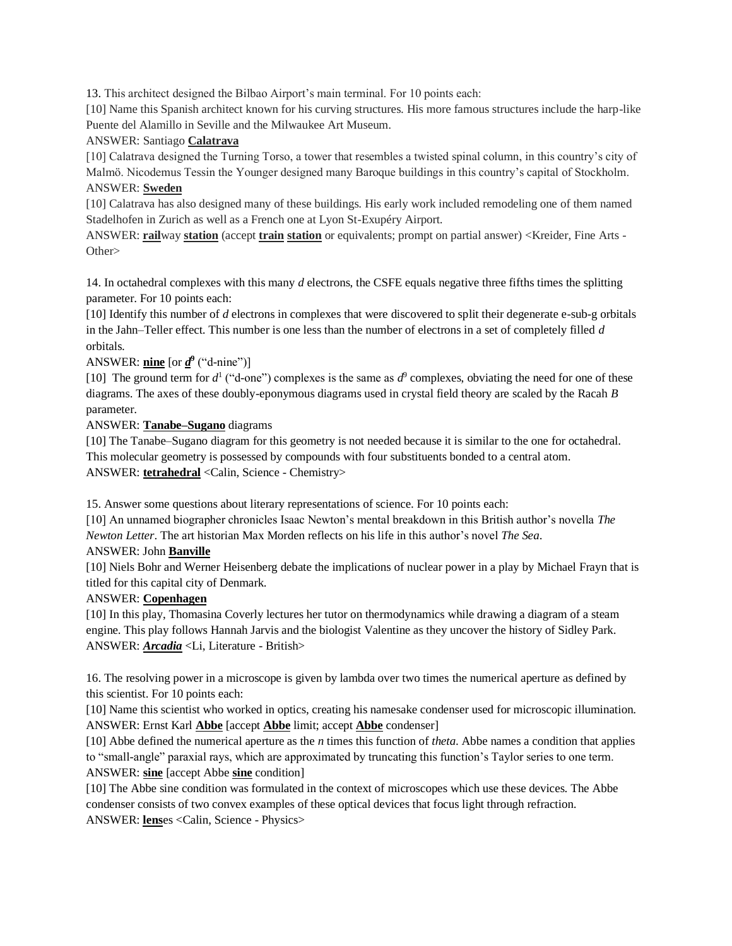13. This architect designed the Bilbao Airport's main terminal. For 10 points each:

[10] Name this Spanish architect known for his curving structures. His more famous structures include the harp-like Puente del Alamillo in Seville and the Milwaukee Art Museum.

#### ANSWER: Santiago **Calatrava**

[10] Calatrava designed the Turning Torso, a tower that resembles a twisted spinal column, in this country's city of Malmö. Nicodemus Tessin the Younger designed many Baroque buildings in this country's capital of Stockholm. ANSWER: **Sweden**

[10] Calatrava has also designed many of these buildings. His early work included remodeling one of them named Stadelhofen in Zurich as well as a French one at Lyon St-Exupéry Airport.

ANSWER: **rail**way **station** (accept **train station** or equivalents; prompt on partial answer) <Kreider, Fine Arts - Other>

14. In octahedral complexes with this many *d* electrons, the CSFE equals negative three fifths times the splitting parameter. For 10 points each:

[10] Identify this number of *d* electrons in complexes that were discovered to split their degenerate e-sub-g orbitals in the Jahn–Teller effect. This number is one less than the number of electrons in a set of completely filled *d* orbitals.

#### ANSWER:  $\frac{\text{nine}}{\text{line}}$  [or  $\underline{d}^9$  ("d-nine")]

[10] The ground term for  $d^1$  ("d-one") complexes is the same as  $d^9$  complexes, obviating the need for one of these diagrams. The axes of these doubly-eponymous diagrams used in crystal field theory are scaled by the Racah *B* parameter.

ANSWER: **Tanabe–Sugano** diagrams

[10] The Tanabe–Sugano diagram for this geometry is not needed because it is similar to the one for octahedral. This molecular geometry is possessed by compounds with four substituents bonded to a central atom. ANSWER: **tetrahedral** <Calin, Science - Chemistry>

15. Answer some questions about literary representations of science. For 10 points each:

[10] An unnamed biographer chronicles Isaac Newton's mental breakdown in this British author's novella *The Newton Letter*. The art historian Max Morden reflects on his life in this author's novel *The Sea*.

#### ANSWER: John **Banville**

[10] Niels Bohr and Werner Heisenberg debate the implications of nuclear power in a play by Michael Frayn that is titled for this capital city of Denmark.

#### ANSWER: **Copenhagen**

[10] In this play, Thomasina Coverly lectures her tutor on thermodynamics while drawing a diagram of a steam engine. This play follows Hannah Jarvis and the biologist Valentine as they uncover the history of Sidley Park. ANSWER: *Arcadia* <Li, Literature - British>

16. The resolving power in a microscope is given by lambda over two times the numerical aperture as defined by this scientist. For 10 points each:

[10] Name this scientist who worked in optics, creating his namesake condenser used for microscopic illumination. ANSWER: Ernst Karl **Abbe** [accept **Abbe** limit; accept **Abbe** condenser]

[10] Abbe defined the numerical aperture as the *n* times this function of *theta*. Abbe names a condition that applies to "small-angle" paraxial rays, which are approximated by truncating this function's Taylor series to one term. ANSWER: **sine** [accept Abbe **sine** condition]

[10] The Abbe sine condition was formulated in the context of microscopes which use these devices. The Abbe condenser consists of two convex examples of these optical devices that focus light through refraction. ANSWER: **lens**es <Calin, Science - Physics>